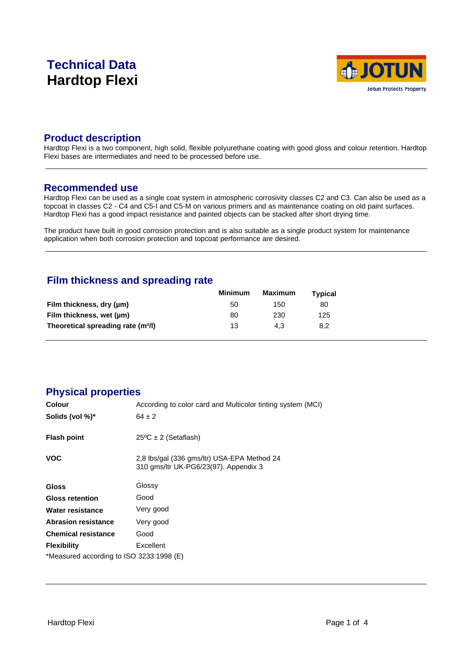# **Technical Data Hardtop Flexi**



### **Product description**

Hardtop Flexi is a two component, high solid, flexible polyurethane coating with good gloss and colour retention. Hardtop Flexi bases are intermediates and need to be processed before use.

#### **Recommended use**

Hardtop Flexi can be used as a single coat system in atmospheric corrosivity classes C2 and C3. Can also be used as a topcoat in classes C2 - C4 and C5-I and C5-M on various primers and as maintenance coating on old paint surfaces. Hardtop Flexi has a good impact resistance and painted objects can be stacked after short drying time.

The product have built in good corrosion protection and is also suitable as a single product system for maintenance application when both corrosion protection and topcoat performance are desired.

# **Film thickness and spreading rate**

|                                                | <b>Minimum</b> | Maximum | <b>Typical</b> |  |
|------------------------------------------------|----------------|---------|----------------|--|
| Film thickness, dry (µm)                       | 50             | 150     | 80             |  |
| Film thickness, wet (µm)                       | 80             | 230     | 125            |  |
| Theoretical spreading rate (m <sup>2</sup> /l) | 13             | 4.3     | 8.2            |  |

# **Physical properties**

| Colour                                   | According to color card and Multicolor tinting system (MCI)                          |
|------------------------------------------|--------------------------------------------------------------------------------------|
| Solids (vol %)*                          | $64 \pm 2$                                                                           |
| <b>Flash point</b>                       | $25^{\circ}$ C ± 2 (Setaflash)                                                       |
| <b>VOC</b>                               | 2,8 lbs/gal (336 gms/ltr) USA-EPA Method 24<br>310 gms/ltr UK-PG6/23(97). Appendix 3 |
| <b>Gloss</b>                             | Glossy                                                                               |
| <b>Gloss retention</b>                   | Good                                                                                 |
| Water resistance                         | Very good                                                                            |
| <b>Abrasion resistance</b>               | Very good                                                                            |
| <b>Chemical resistance</b>               | Good                                                                                 |
| <b>Flexibility</b>                       | Excellent                                                                            |
| *Measured according to ISO 3233:1998 (E) |                                                                                      |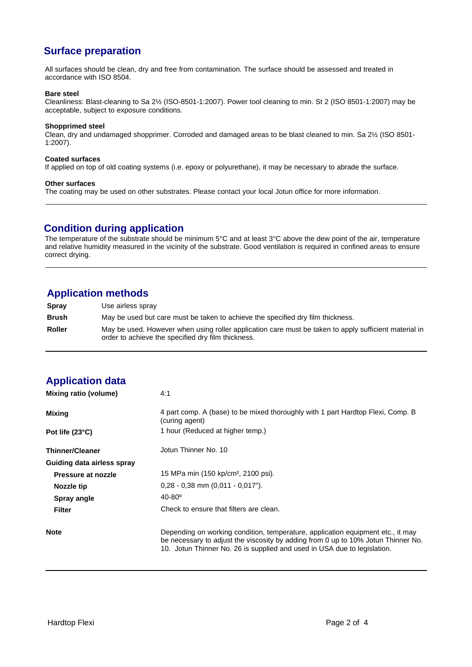# **Surface preparation**

All surfaces should be clean, dry and free from contamination. The surface should be assessed and treated in accordance with ISO 8504.

#### **Bare steel**

Cleanliness: Blast-cleaning to Sa 2½ (ISO-8501-1:2007). Power tool cleaning to min. St 2 (ISO 8501-1:2007) may be acceptable, subject to exposure conditions.

#### **Shopprimed steel**

Clean, dry and undamaged shopprimer. Corroded and damaged areas to be blast cleaned to min. Sa 2½ (ISO 8501- 1:2007).

#### **Coated surfaces**

If applied on top of old coating systems (i.e. epoxy or polyurethane), it may be necessary to abrade the surface.

#### **Other surfaces**

The coating may be used on other substrates. Please contact your local Jotun office for more information.

# **Condition during application**

The temperature of the substrate should be minimum 5°C and at least 3°C above the dew point of the air, temperature and relative humidity measured in the vicinity of the substrate. Good ventilation is required in confined areas to ensure correct drying.

# **Application methods**

**Spray** Use airless spray **Brush** May be used but care must be taken to achieve the specified dry film thickness. **Roller** May be used. However when using roller application care must be taken to apply sufficient material in order to achieve the specified dry film thickness.

# **Application data**

| Mixing ratio (volume)      | 4:1                                                                                                                                                                                                                                              |
|----------------------------|--------------------------------------------------------------------------------------------------------------------------------------------------------------------------------------------------------------------------------------------------|
| Mixing                     | 4 part comp. A (base) to be mixed thoroughly with 1 part Hardtop Flexi, Comp. B<br>(curing agent)                                                                                                                                                |
| Pot life $(23^{\circ}C)$   | 1 hour (Reduced at higher temp.)                                                                                                                                                                                                                 |
| <b>Thinner/Cleaner</b>     | Jotun Thinner No. 10                                                                                                                                                                                                                             |
| Guiding data airless spray |                                                                                                                                                                                                                                                  |
| Pressure at nozzle         | 15 MPa min (150 kp/cm <sup>2</sup> , 2100 psi).                                                                                                                                                                                                  |
| Nozzle tip                 | $0.28 - 0.38$ mm $(0.011 - 0.017)$ .                                                                                                                                                                                                             |
| Spray angle                | $40 - 80^{\circ}$                                                                                                                                                                                                                                |
| <b>Filter</b>              | Check to ensure that filters are clean.                                                                                                                                                                                                          |
| <b>Note</b>                | Depending on working condition, temperature, application equipment etc., it may<br>be necessary to adjust the viscosity by adding from 0 up to 10% Jotun Thinner No.<br>10. Jotun Thinner No. 26 is supplied and used in USA due to legislation. |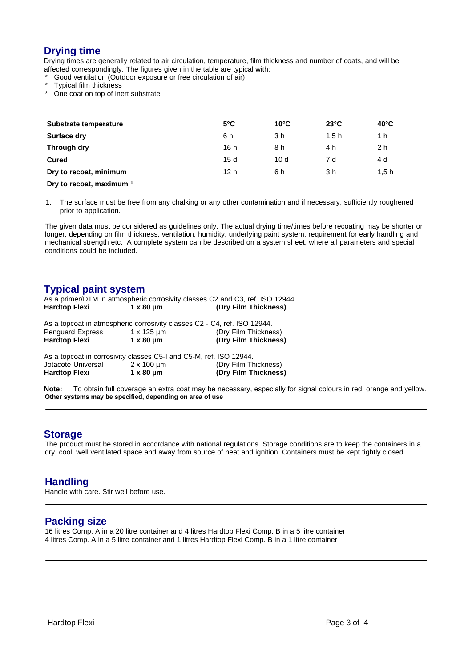# **Drying time**

Drying times are generally related to air circulation, temperature, film thickness and number of coats, and will be affected correspondingly. The figures given in the table are typical with:

Good ventilation (Outdoor exposure or free circulation of air)

- Typical film thickness
- One coat on top of inert substrate

| Substrate temperature                                                                                           | $5^{\circ}$ C   | $10^{\circ}$ C | $23^{\circ}$ C | $40^{\circ}$ C |
|-----------------------------------------------------------------------------------------------------------------|-----------------|----------------|----------------|----------------|
| <b>Surface dry</b>                                                                                              | 6 h             | 3 h            | 1.5h           | 1 h            |
| Through dry                                                                                                     | 16 h            | 8 h            | 4 h            | 2 h            |
| <b>Cured</b>                                                                                                    | 15d             | 10d            | 7 d            | 4 d            |
| Dry to recoat, minimum                                                                                          | 12 <sub>h</sub> | 6 h            | 3 h            | 1.5 h          |
| the contract of the contract of the contract of the contract of the contract of the contract of the contract of |                 |                |                |                |

**Dry to recoat, maximum <sup>1</sup>**

1. The surface must be free from any chalking or any other contamination and if necessary, sufficiently roughened prior to application.

The given data must be considered as guidelines only. The actual drying time/times before recoating may be shorter or longer, depending on film thickness, ventilation, humidity, underlying paint system, requirement for early handling and mechanical strength etc. A complete system can be described on a system sheet, where all parameters and special conditions could be included.

#### **Typical paint system**

|                      |           | As a primer/DTM in atmospheric corrosivity classes C2 and C3, ref. ISO 12944. |  |
|----------------------|-----------|-------------------------------------------------------------------------------|--|
| <b>Hardtop Flexi</b> | 1 x 80 µm | (Dry Film Thickness)                                                          |  |

| Hardtop Flexi    | $1 \times 80$ um | (Dry Film Thickness)                                                     |
|------------------|------------------|--------------------------------------------------------------------------|
| Penguard Express | 1 x 125 um       | (Dry Film Thickness)                                                     |
|                  |                  | As a topcoat in atmospheric corrosivity classes C2 - C4, ref. ISO 12944. |

| Jotacote Universal | $2 \times 100 \mu m$ | (Dry Film Thickness) |
|--------------------|----------------------|----------------------|
| Hardtop Flexi      | $1 \times 80 \mu m$  | (Dry Film Thickness) |

**Note:** To obtain full coverage an extra coat may be necessary, especially for signal colours in red, orange and yellow. **Other systems may be specified, depending on area of use**

#### **Storage**

The product must be stored in accordance with national regulations. Storage conditions are to keep the containers in a dry, cool, well ventilated space and away from source of heat and ignition. Containers must be kept tightly closed.

#### **Handling**

Handle with care. Stir well before use.

# **Packing size**

16 litres Comp. A in a 20 litre container and 4 litres Hardtop Flexi Comp. B in a 5 litre container 4 litres Comp. A in a 5 litre container and 1 litres Hardtop Flexi Comp. B in a 1 litre container